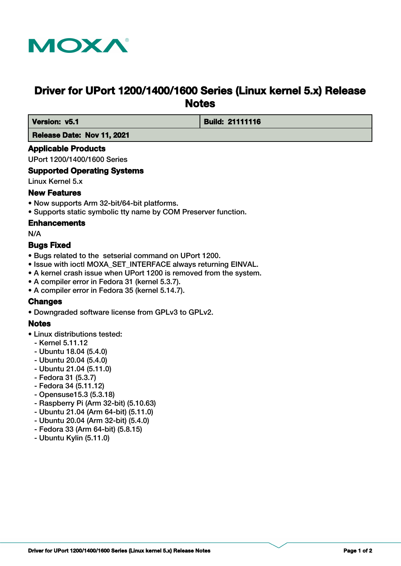

# **Driver for UPort 1200/1400/1600 Series (Linux kernel 5.x) Release Notes**

 **Version: v5.1 Build: 21111116** 

 **Release Date: Nov 11, 2021**

# **Applicable Products**

UPort 1200/1400/1600 Series

# **Supported Operating Systems**

Linux Kernel 5.x

# **New Features**

- Now supports Arm 32-bit/64-bit platforms.
- Supports static symbolic tty name by COM Preserver function.

#### **Enhancements**

N/A

# **Bugs Fixed**

- Bugs related to the setserial command on UPort 1200.
- Issue with ioctl MOXA\_SET\_INTERFACE always returning EINVAL.
- A kernel crash issue when UPort 1200 is removed from the system.
- A compiler error in Fedora 31 (kernel 5.3.7).
- A compiler error in Fedora 35 (kernel 5.14.7).

# **Changes**

• Downgraded software license from GPLv3 to GPLv2.

# **Notes**

- Linux distributions tested:
	- Kernel 5.11.12
	- Ubuntu 18.04 (5.4.0)
	- Ubuntu 20.04 (5.4.0)
	- Ubuntu 21.04 (5.11.0)
	- Fedora 31 (5.3.7)
	- Fedora 34 (5.11.12)
	- Opensuse15.3 (5.3.18)
	- Raspberry Pi (Arm 32-bit) (5.10.63)
	- Ubuntu 21.04 (Arm 64-bit) (5.11.0)
	- Ubuntu 20.04 (Arm 32-bit) (5.4.0)
	- Fedora 33 (Arm 64-bit) (5.8.15)
	- Ubuntu Kylin (5.11.0)